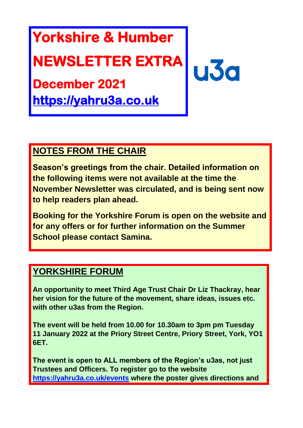# **Yorkshire & Humber**

## **NEWSLETTER EXTRA**

**December 2021** 

**[https://yahru3a.co.uk](https://yahru3a.co.uk/)** 

### **NOTES FROM THE CHAIR**

**Season's greetings from the chair. Detailed information on the following items were not available at the time the November Newsletter was circulated, and is being sent now to help readers plan ahead.** 

**u3** 

**Booking for the Yorkshire Forum is open on the website and for any offers or for further information on the Summer School please contact Samina.**

#### **YORKSHIRE FORUM**

**An opportunity to meet Third Age Trust Chair Dr Liz Thackray, hear her vision for the future of the movement, share ideas, issues etc. with other u3as from the Region.**

**The event will be held from 10.00 for 10.30am to 3pm pm Tuesday 11 January 2022 at the Priory Street Centre, Priory Street, York, YO1 6ET.**

**The event is open to ALL members of the Region's u3as, not just Trustees and Officers. To register go to the website <https://yahru3a.co.uk/events> where the poster gives directions and**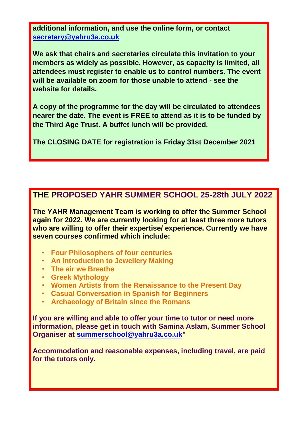**additional information, and use the online form, or contact [secretary@yahru3a.co.uk](mailto:secretary@yahru3a.co.uk)**

**We ask that chairs and secretaries circulate this invitation to your members as widely as possible. However, as capacity is limited, all attendees must register to enable us to control numbers. The event will be available on zoom for those unable to attend - see the website for details.**

**A copy of the programme for the day will be circulated to attendees nearer the date. The event is FREE to attend as it is to be funded by the Third Age Trust. A buffet lunch will be provided.** 

**The CLOSING DATE for registration is Friday 31st December 2021**

#### **THE PROPOSED YAHR SUMMER SCHOOL 25-28th JULY 2022**

**The YAHR Management Team is working to offer the Summer School again for 2022. We are currently looking for at least three more tutors who are willing to offer their expertise/ experience. Currently we have seven courses confirmed which include:**

- **Four Philosophers of four centuries**
- **An Introduction to Jewellery Making**
- **The air we Breathe**
- **Greek Mythology**
- **Women Artists from the Renaissance to the Present Day**
- **Casual Conversation in Spanish for Beginners**
- **Archaeology of Britain since the Romans**

**If you are willing and able to offer your time to tutor or need more information, please get in touch with Samina Aslam, Summer School Organiser at [summerschool@yahru3a.co.uk"](mailto:summerschool@yahru3a.co.uk)**

**Accommodation and reasonable expenses, including travel, are paid for the tutors only.**